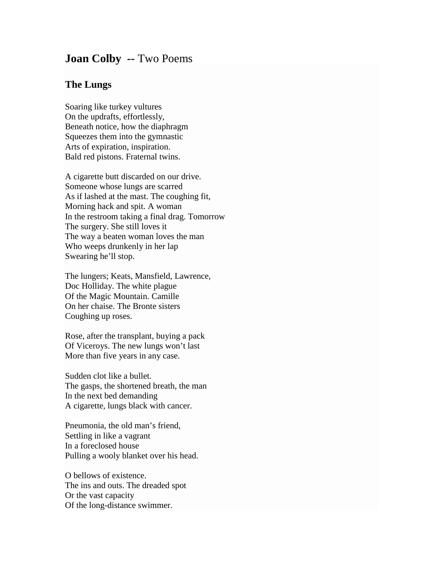## **Joan Colby --** Two Poems

## **The Lungs**

Soaring like turkey vultures On the updrafts, effortlessly, Beneath notice, how the diaphragm Squeezes them into the gymnastic Arts of expiration, inspiration. Bald red pistons. Fraternal twins.

A cigarette butt discarded on our drive. Someone whose lungs are scarred As if lashed at the mast. The coughing fit, Morning hack and spit. A woman In the restroom taking a final drag. Tomorrow The surgery. She still loves it The way a beaten woman loves the man Who weeps drunkenly in her lap Swearing he'll stop.

The lungers; Keats, Mansfield, Lawrence, Doc Holliday. The white plague Of the Magic Mountain. Camille On her chaise. The Bronte sisters Coughing up roses.

Rose, after the transplant, buying a pack Of Viceroys. The new lungs won't last More than five years in any case.

Sudden clot like a bullet. The gasps, the shortened breath, the man In the next bed demanding A cigarette, lungs black with cancer.

Pneumonia, the old man's friend, Settling in like a vagrant In a foreclosed house Pulling a wooly blanket over his head.

O bellows of existence. The ins and outs. The dreaded spot Or the vast capacity Of the long-distance swimmer.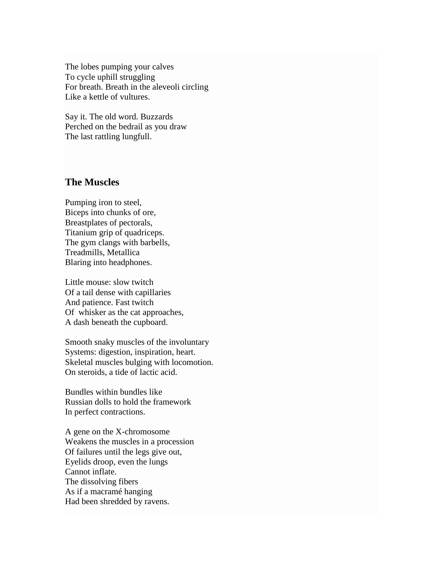The lobes pumping your calves To cycle uphill struggling For breath. Breath in the aleveoli circling Like a kettle of vultures.

Say it. The old word. Buzzards Perched on the bedrail as you draw The last rattling lungfull.

## **The Muscles**

Pumping iron to steel, Biceps into chunks of ore, Breastplates of pectorals, Titanium grip of quadriceps. The gym clangs with barbells, Treadmills, Metallica Blaring into headphones.

Little mouse: slow twitch Of a tail dense with capillaries And patience. Fast twitch Of whisker as the cat approaches, A dash beneath the cupboard.

Smooth snaky muscles of the involuntary Systems: digestion, inspiration, heart. Skeletal muscles bulging with locomotion. On steroids, a tide of lactic acid.

Bundles within bundles like Russian dolls to hold the framework In perfect contractions.

A gene on the X-chromosome Weakens the muscles in a procession Of failures until the legs give out, Eyelids droop, even the lungs Cannot inflate. The dissolving fibers As if a macramé hanging Had been shredded by ravens.